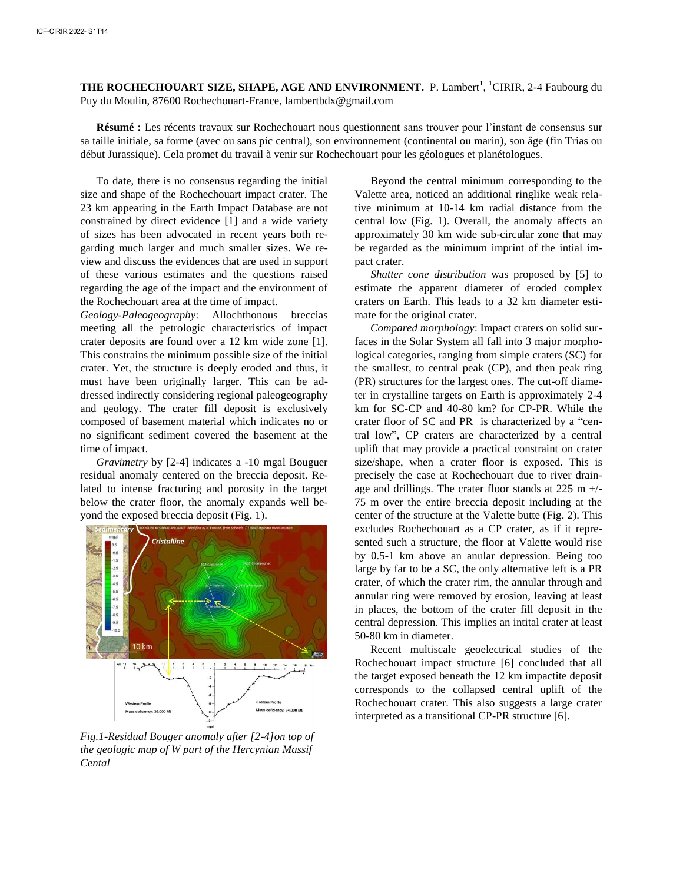**THE ROCHECHOUART SIZE, SHAPE, AGE AND ENVIRONMENT.** P. Lambert<sup>1</sup>, <sup>1</sup>CIRIR, 2-4 Faubourg du Puy du Moulin, 87600 Rochechouart-France, lambertbdx@gmail.com

Résumé : Les récents travaux sur Rochechouart nous questionnent sans trouver pour l'instant de consensus sur sa taille initiale, sa forme (avec ou sans pic central), son environnement (continental ou marin), son âge (fin Trias ou début Jurassique). Cela promet du travail à venir sur Rochechouart pour les géologues et planétologues.

To date, there is no consensus regarding the initial size and shape of the Rochechouart impact crater. The 23 km appearing in the Earth Impact Database are not constrained by direct evidence [1] and a wide variety of sizes has been advocated in recent years both regarding much larger and much smaller sizes. We review and discuss the evidences that are used in support of these various estimates and the questions raised regarding the age of the impact and the environment of the Rochechouart area at the time of impact.

*Geology-Paleogeography*: Allochthonous breccias meeting all the petrologic characteristics of impact crater deposits are found over a 12 km wide zone [1]. This constrains the minimum possible size of the initial crater. Yet, the structure is deeply eroded and thus, it must have been originally larger. This can be addressed indirectly considering regional paleogeography and geology. The crater fill deposit is exclusively composed of basement material which indicates no or no significant sediment covered the basement at the time of impact.

*Gravimetry* by [2-4] indicates a -10 mgal Bouguer residual anomaly centered on the breccia deposit. Related to intense fracturing and porosity in the target below the crater floor, the anomaly expands well beyond the exposed breccia deposit (Fig. 1).



*Fig.1-Residual Bouger anomaly after [2-4]on top of the geologic map of W part of the Hercynian Massif Cental* 

Beyond the central minimum corresponding to the Valette area, noticed an additional ringlike weak relative minimum at 10-14 km radial distance from the central low (Fig. 1). Overall, the anomaly affects an approximately 30 km wide sub-circular zone that may be regarded as the minimum imprint of the intial impact crater.

*Shatter cone distribution* was proposed by [5] to estimate the apparent diameter of eroded complex craters on Earth. This leads to a 32 km diameter estimate for the original crater.

*Compared morphology*: Impact craters on solid surfaces in the Solar System all fall into 3 major morphological categories, ranging from simple craters (SC) for the smallest, to central peak (CP), and then peak ring (PR) structures for the largest ones. The cut-off diameter in crystalline targets on Earth is approximately 2-4 km for SC-CP and 40-80 km? for CP-PR. While the crater floor of SC and PR is characterized by a "central low", CP craters are characterized by a central uplift that may provide a practical constraint on crater size/shape, when a crater floor is exposed. This is precisely the case at Rochechouart due to river drainage and drillings. The crater floor stands at  $225 \text{ m} +/$ -75 m over the entire breccia deposit including at the center of the structure at the Valette butte (Fig. 2). This excludes Rochechouart as a CP crater, as if it represented such a structure, the floor at Valette would rise by 0.5-1 km above an anular depression. Being too large by far to be a SC, the only alternative left is a PR crater, of which the crater rim, the annular through and annular ring were removed by erosion, leaving at least in places, the bottom of the crater fill deposit in the central depression. This implies an intital crater at least 50-80 km in diameter.

Recent multiscale geoelectrical studies of the Rochechouart impact structure [6] concluded that all the target exposed beneath the 12 km impactite deposit corresponds to the collapsed central uplift of the Rochechouart crater. This also suggests a large crater interpreted as a transitional CP-PR structure [6].